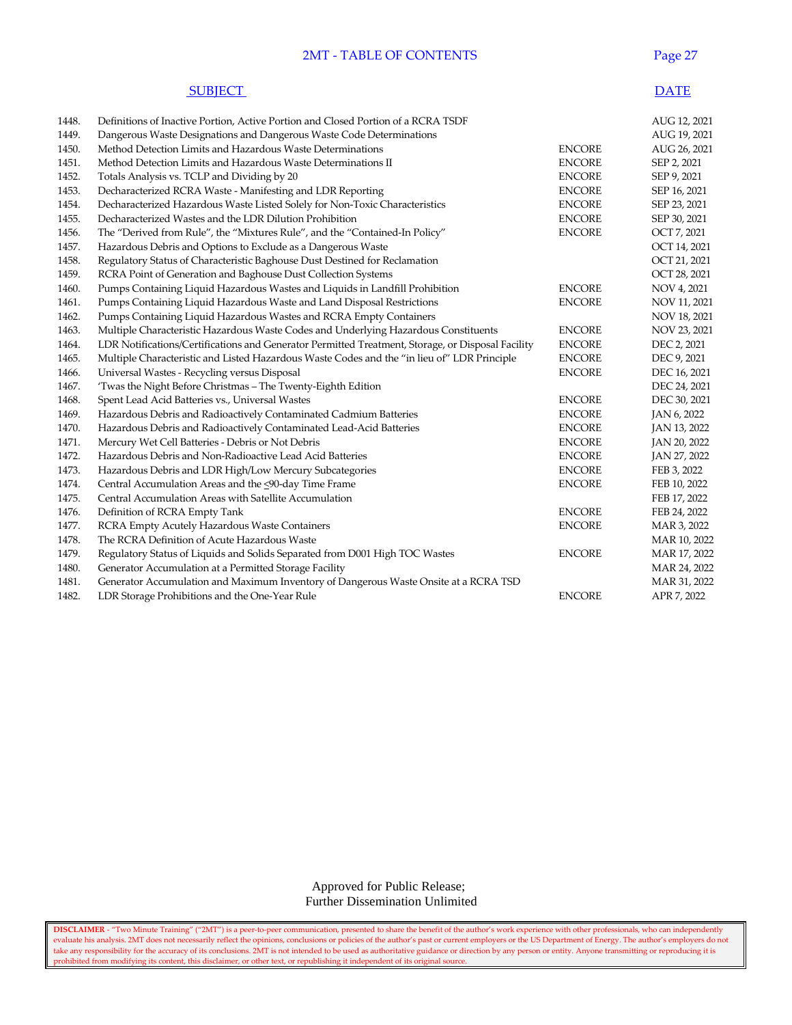### **2MT - TABLE OF CONTENTS** Page

#### **SUBJECT** DATE

| 1448. | Definitions of Inactive Portion, Active Portion and Closed Portion of a RCRA TSDF                 |               | AUG 12, 2021 |
|-------|---------------------------------------------------------------------------------------------------|---------------|--------------|
| 1449. | Dangerous Waste Designations and Dangerous Waste Code Determinations                              |               | AUG 19, 2021 |
| 1450. | Method Detection Limits and Hazardous Waste Determinations                                        | <b>ENCORE</b> | AUG 26, 2021 |
| 1451. | Method Detection Limits and Hazardous Waste Determinations II                                     | <b>ENCORE</b> | SEP 2, 2021  |
| 1452. | Totals Analysis vs. TCLP and Dividing by 20                                                       | <b>ENCORE</b> | SEP 9, 2021  |
| 1453. | Decharacterized RCRA Waste - Manifesting and LDR Reporting                                        | <b>ENCORE</b> | SEP 16, 2021 |
| 1454. | Decharacterized Hazardous Waste Listed Solely for Non-Toxic Characteristics                       | <b>ENCORE</b> | SEP 23, 2021 |
| 1455. | Decharacterized Wastes and the LDR Dilution Prohibition                                           | <b>ENCORE</b> | SEP 30, 2021 |
| 1456. | The "Derived from Rule", the "Mixtures Rule", and the "Contained-In Policy"                       | <b>ENCORE</b> | OCT 7, 2021  |
| 1457. | Hazardous Debris and Options to Exclude as a Dangerous Waste                                      |               | OCT 14, 2021 |
| 1458. | Regulatory Status of Characteristic Baghouse Dust Destined for Reclamation                        |               | OCT 21, 2021 |
| 1459. | RCRA Point of Generation and Baghouse Dust Collection Systems                                     |               | OCT 28, 2021 |
| 1460. | Pumps Containing Liquid Hazardous Wastes and Liquids in Landfill Prohibition                      | <b>ENCORE</b> | NOV 4, 2021  |
| 1461. | Pumps Containing Liquid Hazardous Waste and Land Disposal Restrictions                            | <b>ENCORE</b> | NOV 11, 2021 |
| 1462. | Pumps Containing Liquid Hazardous Wastes and RCRA Empty Containers                                |               | NOV 18, 2021 |
| 1463. | Multiple Characteristic Hazardous Waste Codes and Underlying Hazardous Constituents               | <b>ENCORE</b> | NOV 23, 2021 |
| 1464. | LDR Notifications/Certifications and Generator Permitted Treatment, Storage, or Disposal Facility | <b>ENCORE</b> | DEC 2, 2021  |
| 1465. | Multiple Characteristic and Listed Hazardous Waste Codes and the "in lieu of" LDR Principle       | <b>ENCORE</b> | DEC 9, 2021  |
| 1466. | Universal Wastes - Recycling versus Disposal                                                      | <b>ENCORE</b> | DEC 16, 2021 |
| 1467. | 'Twas the Night Before Christmas - The Twenty-Eighth Edition                                      |               | DEC 24, 2021 |
| 1468. | Spent Lead Acid Batteries vs., Universal Wastes                                                   | <b>ENCORE</b> | DEC 30, 2021 |
| 1469. | Hazardous Debris and Radioactively Contaminated Cadmium Batteries                                 | <b>ENCORE</b> | JAN 6, 2022  |
| 1470. | Hazardous Debris and Radioactively Contaminated Lead-Acid Batteries                               | <b>ENCORE</b> | JAN 13, 2022 |
| 1471. | Mercury Wet Cell Batteries - Debris or Not Debris                                                 | <b>ENCORE</b> | JAN 20, 2022 |
| 1472. | Hazardous Debris and Non-Radioactive Lead Acid Batteries                                          | <b>ENCORE</b> | JAN 27, 2022 |
| 1473. | Hazardous Debris and LDR High/Low Mercury Subcategories                                           | <b>ENCORE</b> | FEB 3, 2022  |
| 1474. | Central Accumulation Areas and the <90-day Time Frame                                             | <b>ENCORE</b> | FEB 10, 2022 |
| 1475. | Central Accumulation Areas with Satellite Accumulation                                            |               | FEB 17, 2022 |
| 1476. | Definition of RCRA Empty Tank                                                                     | <b>ENCORE</b> | FEB 24, 2022 |
| 1477. | RCRA Empty Acutely Hazardous Waste Containers                                                     | <b>ENCORE</b> | MAR 3, 2022  |
| 1478. | The RCRA Definition of Acute Hazardous Waste                                                      |               | MAR 10, 2022 |
| 1479. | Regulatory Status of Liquids and Solids Separated from D001 High TOC Wastes                       | <b>ENCORE</b> | MAR 17, 2022 |
| 1480. | Generator Accumulation at a Permitted Storage Facility                                            |               | MAR 24, 2022 |
| 1481. | Generator Accumulation and Maximum Inventory of Dangerous Waste Onsite at a RCRA TSD              |               | MAR 31, 2022 |
| 1482. | LDR Storage Prohibitions and the One-Year Rule                                                    | <b>ENCORE</b> | APR 7, 2022  |
|       |                                                                                                   |               |              |

#### Approved for Public Release; Further Dissemination Unlimited

**DISCLAIMER** - "Two Minute Training" ("2MT") is a peer-to-peer communication, presented to share the benefit of the author's work experience with other professionals, who can independently evaluate his analysis. 2MT does not necessarily reflect the opinions, conclusions or policies of the author's past or current employers or the US Department of Energy. The author's employers do not take any responsibility for the accuracy of its conclusions. 2MT is not intended to be used as authoritative guidance or direction by any person or entity. Anyone transmitting or reproducing it is prohibited from modifying its content, this disclaimer, or other text, or republishing it independent of its original source.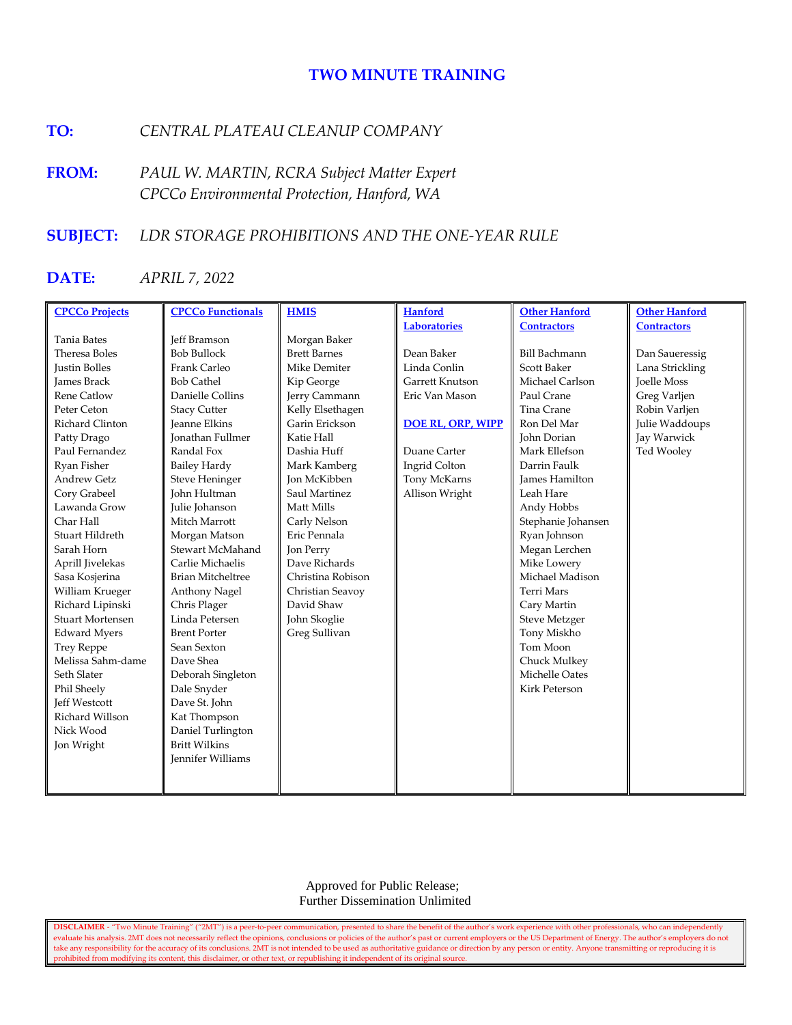### **TWO MINUTE TRAINING**

## **TO:** *CENTRAL PLATEAU CLEANUP COMPANY*

**FROM:** *PAUL W. MARTIN, RCRA Subject Matter Expert CPCCo Environmental Protection, Hanford, WA*

### **SUBJECT:** *LDR STORAGE PROHIBITIONS AND THE ONE-YEAR RULE*

# **DATE:** *APRIL 7, 2022*

| <b>CPCCo Projects</b>   | <b>CPCCo Functionals</b> | <b>HMIS</b>         | <b>Hanford</b>           | <b>Other Hanford</b> | <b>Other Hanford</b> |
|-------------------------|--------------------------|---------------------|--------------------------|----------------------|----------------------|
|                         |                          |                     | <b>Laboratories</b>      | <b>Contractors</b>   | <b>Contractors</b>   |
| <b>Tania Bates</b>      | <b>Jeff Bramson</b>      | Morgan Baker        |                          |                      |                      |
| Theresa Boles           | <b>Bob Bullock</b>       | <b>Brett Barnes</b> | Dean Baker               | <b>Bill Bachmann</b> | Dan Saueressig       |
| <b>Justin Bolles</b>    | Frank Carleo             | Mike Demiter        | Linda Conlin             | <b>Scott Baker</b>   | Lana Strickling      |
| <b>James Brack</b>      | <b>Bob Cathel</b>        | Kip George          | Garrett Knutson          | Michael Carlson      | Joelle Moss          |
| Rene Catlow             | Danielle Collins         | Jerry Cammann       | Eric Van Mason           | Paul Crane           | Greg Varljen         |
| Peter Ceton             | <b>Stacy Cutter</b>      | Kelly Elsethagen    |                          | Tina Crane           | Robin Varljen        |
| Richard Clinton         | <b>Jeanne Elkins</b>     | Garin Erickson      | <b>DOE RL, ORP, WIPP</b> | Ron Del Mar          | Julie Waddoups       |
| Patty Drago             | <b>Ionathan Fullmer</b>  | Katie Hall          |                          | <b>John Dorian</b>   | Jay Warwick          |
| Paul Fernandez          | Randal Fox               | Dashia Huff         | Duane Carter             | Mark Ellefson        | Ted Wooley           |
| Ryan Fisher             | <b>Bailey Hardy</b>      | Mark Kamberg        | Ingrid Colton            | Darrin Faulk         |                      |
| <b>Andrew Getz</b>      | <b>Steve Heninger</b>    | Jon McKibben        | Tony McKarns             | James Hamilton       |                      |
| Cory Grabeel            | John Hultman             | Saul Martinez       | Allison Wright           | Leah Hare            |                      |
| Lawanda Grow            | Julie Johanson           | Matt Mills          |                          | Andy Hobbs           |                      |
| Char Hall               | Mitch Marrott            | Carly Nelson        |                          | Stephanie Johansen   |                      |
| Stuart Hildreth         | Morgan Matson            | Eric Pennala        |                          | Ryan Johnson         |                      |
| Sarah Horn              | Stewart McMahand         | Jon Perry           |                          | Megan Lerchen        |                      |
| Aprill Jivelekas        | Carlie Michaelis         | Dave Richards       |                          | Mike Lowery          |                      |
| Sasa Kosjerina          | <b>Brian Mitcheltree</b> | Christina Robison   |                          | Michael Madison      |                      |
| William Krueger         | Anthony Nagel            | Christian Seavoy    |                          | Terri Mars           |                      |
| Richard Lipinski        | Chris Plager             | David Shaw          |                          | Cary Martin          |                      |
| <b>Stuart Mortensen</b> | Linda Petersen           | John Skoglie        |                          | <b>Steve Metzger</b> |                      |
| <b>Edward Myers</b>     | <b>Brent Porter</b>      | Greg Sullivan       |                          | Tony Miskho          |                      |
| <b>Trey Reppe</b>       | Sean Sexton              |                     |                          | Tom Moon             |                      |
| Melissa Sahm-dame       | Dave Shea                |                     |                          | Chuck Mulkey         |                      |
| Seth Slater             | Deborah Singleton        |                     |                          | Michelle Oates       |                      |
| Phil Sheely             | Dale Snyder              |                     |                          | <b>Kirk Peterson</b> |                      |
| <b>Jeff Westcott</b>    | Dave St. John            |                     |                          |                      |                      |
| Richard Willson         | Kat Thompson             |                     |                          |                      |                      |
| Nick Wood               | Daniel Turlington        |                     |                          |                      |                      |
| Jon Wright              | <b>Britt Wilkins</b>     |                     |                          |                      |                      |
|                         | <b>Jennifer Williams</b> |                     |                          |                      |                      |
|                         |                          |                     |                          |                      |                      |
|                         |                          |                     |                          |                      |                      |

 Approved for Public Release; Further Dissemination Unlimited

**DISCLAIMER** - "Two Minute Training" ("2MT") is a peer-to-peer communication, presented to share the benefit of the author's work experience with other professionals, who can independently evaluate his analysis. 2MT does not necessarily reflect the opinions, conclusions or policies of the author's past or current employers or the US Department of Energy. The author's employers do not take any responsibility for the accuracy of its conclusions. 2MT is not intended to be used as authoritative guidance or direction by any person or entity. Anyone transmitting or reproducing it is prohibited from modifying its content, this disclaimer, or other text, or republishing it independent of its original source.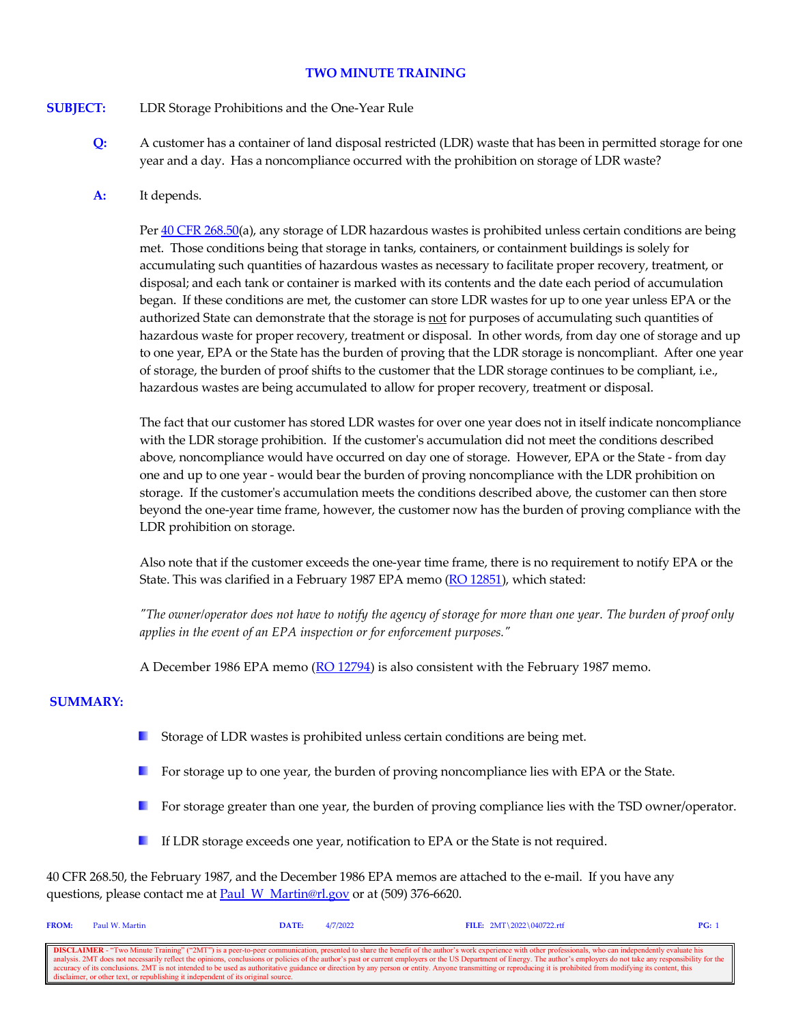#### **TWO MINUTE TRAINING**

#### **SUBJECT:** LDR Storage Prohibitions and the One-Year Rule

**Q:** A customer has a container of land disposal restricted (LDR) waste that has been in permitted storage for one year and a day. Has a noncompliance occurred with the prohibition on storage of LDR waste?

#### **A:** It depends.

Pe[r 40 CFR 268.50\(](https://www.govinfo.gov/content/pkg/CFR-2021-title40-vol29/xml/CFR-2021-title40-vol29-sec268-50.xml)a), any storage of LDR hazardous wastes is prohibited unless certain conditions are being met. Those conditions being that storage in tanks, containers, or containment buildings is solely for accumulating such quantities of hazardous wastes as necessary to facilitate proper recovery, treatment, or disposal; and each tank or container is marked with its contents and the date each period of accumulation began. If these conditions are met, the customer can store LDR wastes for up to one year unless EPA or the authorized State can demonstrate that the storage is not for purposes of accumulating such quantities of hazardous waste for proper recovery, treatment or disposal. In other words, from day one of storage and up to one year, EPA or the State has the burden of proving that the LDR storage is noncompliant. After one year of storage, the burden of proof shifts to the customer that the LDR storage continues to be compliant, i.e., hazardous wastes are being accumulated to allow for proper recovery, treatment or disposal.

The fact that our customer has stored LDR wastes for over one year does not in itself indicate noncompliance with the LDR storage prohibition. If the customer's accumulation did not meet the conditions described above, noncompliance would have occurred on day one of storage. However, EPA or the State - from day one and up to one year - would bear the burden of proving noncompliance with the LDR prohibition on storage. If the customer's accumulation meets the conditions described above, the customer can then store beyond the one-year time frame, however, the customer now has the burden of proving compliance with the LDR prohibition on storage.

Also note that if the customer exceeds the one-year time frame, there is no requirement to notify EPA or the State. This was clarified in a February 1987 EPA memo [\(RO 12851\)](https://rcrapublic.epa.gov/rcraonline/results.xhtml?search=12851), which stated:

*"The owner/operator does not have to notify the agency of storage for more than one year. The burden of proof only applies in the event of an EPA inspection or for enforcement purposes."* 

A December 1986 EPA memo [\(RO 12794\)](https://rcrapublic.epa.gov/rcraonline/results.xhtml?search=12794) is also consistent with the February 1987 memo.

#### **SUMMARY:**

- $\mathcal{L}$ Storage of LDR wastes is prohibited unless certain conditions are being met.
- **For storage up to one year, the burden of proving noncompliance lies with EPA or the State.**
- **I** For storage greater than one year, the burden of proving compliance lies with the TSD owner/operator.
- If LDR storage exceeds one year, notification to EPA or the State is not required.

40 CFR 268.50, the February 1987, and the December 1986 EPA memos are attached to the e-mail. If you have any questions, please contact me at [Paul\\_W\\_Martin@rl.gov](mailto:Paul_W_Martin@rl.gov?subject=Two%20Minute%20Training%20Question) or at (509) 376-6620.

| <b>FROM:</b> | Paul W. Martin                                                                    | DATE: | 4/7/2022 | FILE: $2MT \ 2022 \ 040722.rtf$                                                                                                                                                                                          | PG: |
|--------------|-----------------------------------------------------------------------------------|-------|----------|--------------------------------------------------------------------------------------------------------------------------------------------------------------------------------------------------------------------------|-----|
|              |                                                                                   |       |          |                                                                                                                                                                                                                          |     |
|              |                                                                                   |       |          | <b>DISCLAIMER</b> - "Two Minute Training" ("2MT") is a peer-to-peer communication, presented to share the benefit of the author's work experience with other professionals, who can independently evaluate his           |     |
|              |                                                                                   |       |          | analysis. 2MT does not necessarily reflect the opinions, conclusions or policies of the author's past or current employers or the US Department of Energy. The author's employers do not take any responsibility for the |     |
|              |                                                                                   |       |          | accuracy of its conclusions. 2MT is not intended to be used as authoritative guidance or direction by any person or entity. Anyone transmitting or reproducing it is prohibited from modifying its content, this         |     |
|              | disclaimer, or other text, or republishing it independent of its original source. |       |          |                                                                                                                                                                                                                          |     |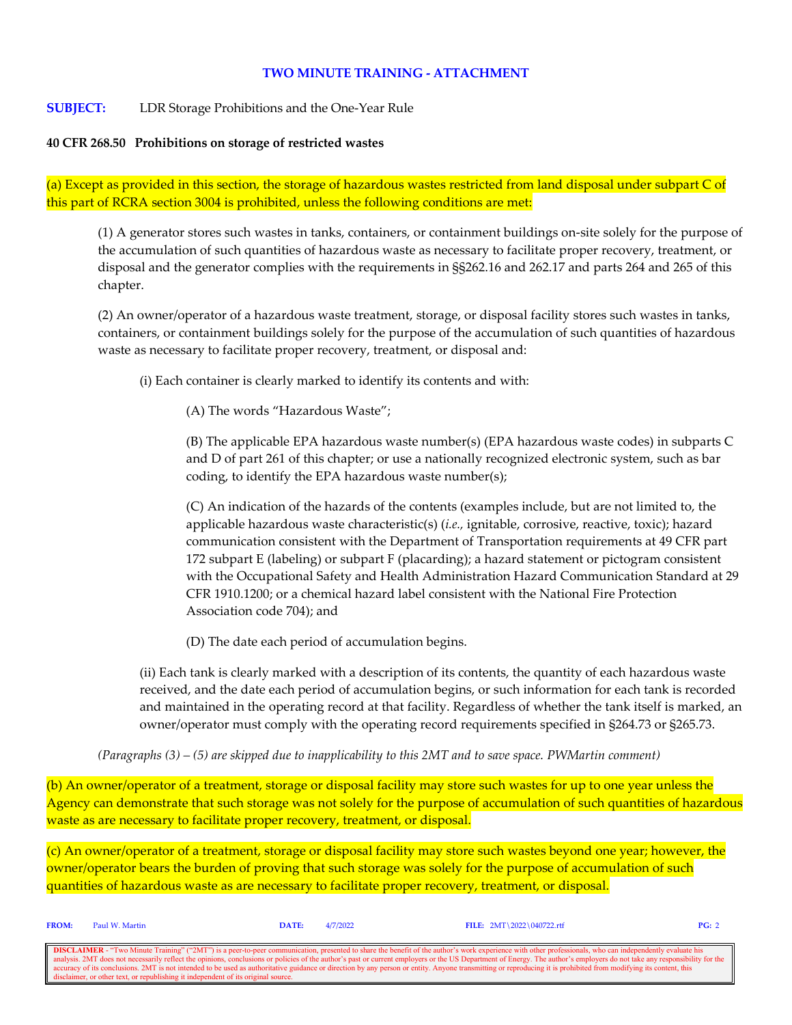### **TWO MINUTE TRAINING - ATTACHMENT**

#### **SUBJECT:** LDR Storage Prohibitions and the One-Year Rule

#### **40 CFR 268.50 Prohibitions on storage of restricted wastes**

(a) Except as provided in this section, the storage of hazardous wastes restricted from land disposal under subpart C of this part of RCRA section 3004 is prohibited, unless the following conditions are met:

(1) A generator stores such wastes in tanks, containers, or containment buildings on-site solely for the purpose of the accumulation of such quantities of hazardous waste as necessary to facilitate proper recovery, treatment, or disposal and the generator complies with the requirements in §§262.16 and 262.17 and parts 264 and 265 of this chapter.

(2) An owner/operator of a hazardous waste treatment, storage, or disposal facility stores such wastes in tanks, containers, or containment buildings solely for the purpose of the accumulation of such quantities of hazardous waste as necessary to facilitate proper recovery, treatment, or disposal and:

(i) Each container is clearly marked to identify its contents and with:

(A) The words "Hazardous Waste";

(B) The applicable EPA hazardous waste number(s) (EPA hazardous waste codes) in subparts C and D of part 261 of this chapter; or use a nationally recognized electronic system, such as bar coding, to identify the EPA hazardous waste number(s);

(C) An indication of the hazards of the contents (examples include, but are not limited to, the applicable hazardous waste characteristic(s) (*i.e.,* ignitable, corrosive, reactive, toxic); hazard communication consistent with the Department of Transportation requirements at 49 CFR part 172 subpart E (labeling) or subpart F (placarding); a hazard statement or pictogram consistent with the Occupational Safety and Health Administration Hazard Communication Standard at 29 CFR 1910.1200; or a chemical hazard label consistent with the National Fire Protection Association code 704); and

(D) The date each period of accumulation begins.

(ii) Each tank is clearly marked with a description of its contents, the quantity of each hazardous waste received, and the date each period of accumulation begins, or such information for each tank is recorded and maintained in the operating record at that facility. Regardless of whether the tank itself is marked, an owner/operator must comply with the operating record requirements specified in §264.73 or §265.73.

*(Paragraphs (3) – (5) are skipped due to inapplicability to this 2MT and to save space. PWMartin comment)*

(b) An owner/operator of a treatment, storage or disposal facility may store such wastes for up to one year unless the Agency can demonstrate that such storage was not solely for the purpose of accumulation of such quantities of hazardous waste as are necessary to facilitate proper recovery, treatment, or disposal.

(c) An owner/operator of a treatment, storage or disposal facility may store such wastes beyond one year; however, the owner/operator bears the burden of proving that such storage was solely for the purpose of accumulation of such quantities of hazardous waste as are necessary to facilitate proper recovery, treatment, or disposal.

| <b>FROM:</b> | Paul W. Martin                                                                    | <b>DATE:</b> | 4/7/2022 | FILE: $2MT \ 2022 \ 040722.rtf$                                                                                                                                                                                                                                                                                                                                                                                                                                                                                                                                                                                                                                | PG: 2 |
|--------------|-----------------------------------------------------------------------------------|--------------|----------|----------------------------------------------------------------------------------------------------------------------------------------------------------------------------------------------------------------------------------------------------------------------------------------------------------------------------------------------------------------------------------------------------------------------------------------------------------------------------------------------------------------------------------------------------------------------------------------------------------------------------------------------------------------|-------|
|              | disclaimer, or other text, or republishing it independent of its original source. |              |          | <b>DISCLAIMER</b> - "Two Minute Training" ("2MT") is a peer-to-peer communication, presented to share the benefit of the author's work experience with other professionals, who can independently evaluate his<br>analysis. 2MT does not necessarily reflect the opinions, conclusions or policies of the author's past or current employers or the US Department of Energy. The author's employers do not take any responsibility for the<br>cecuracy of its conclusions. 2MT is not intended to be used as authoritative guidance or direction by any person or entity. Anyone transmitting or reproducing it is prohibited from modifying its content, this |       |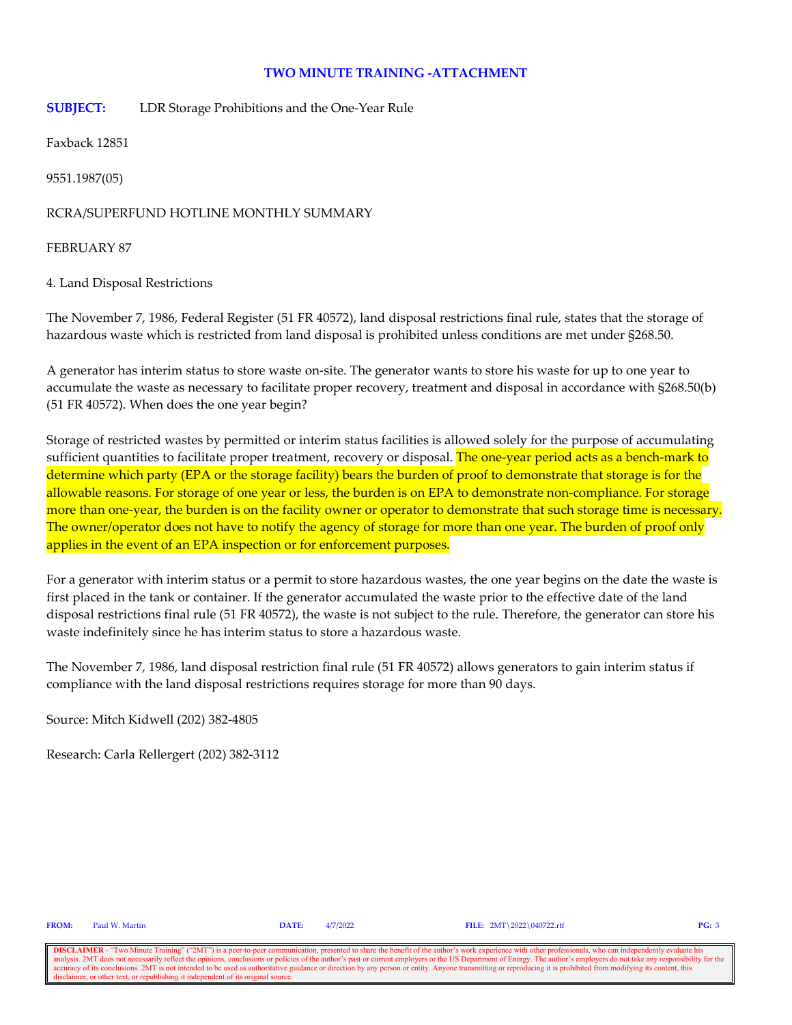### **TWO MINUTE TRAINING -ATTACHMENT**

**SUBJECT:** LDR Storage Prohibitions and the One-Year Rule

Faxback 12851

9551.1987(05)

RCRA/SUPERFUND HOTLINE MONTHLY SUMMARY

FEBRUARY 87

4. Land Disposal Restrictions

The November 7, 1986, Federal Register (51 FR 40572), land disposal restrictions final rule, states that the storage of hazardous waste which is restricted from land disposal is prohibited unless conditions are met under §268.50.

A generator has interim status to store waste on-site. The generator wants to store his waste for up to one year to accumulate the waste as necessary to facilitate proper recovery, treatment and disposal in accordance with §268.50(b) (51 FR 40572). When does the one year begin?

Storage of restricted wastes by permitted or interim status facilities is allowed solely for the purpose of accumulating sufficient quantities to facilitate proper treatment, recovery or disposal. The one-year period acts as a bench-mark to determine which party (EPA or the storage facility) bears the burden of proof to demonstrate that storage is for the allowable reasons. For storage of one year or less, the burden is on EPA to demonstrate non-compliance. For storage more than one-year, the burden is on the facility owner or operator to demonstrate that such storage time is necessary. The owner/operator does not have to notify the agency of storage for more than one year. The burden of proof only applies in the event of an EPA inspection or for enforcement purposes.

For a generator with interim status or a permit to store hazardous wastes, the one year begins on the date the waste is first placed in the tank or container. If the generator accumulated the waste prior to the effective date of the land disposal restrictions final rule (51 FR 40572), the waste is not subject to the rule. Therefore, the generator can store his waste indefinitely since he has interim status to store a hazardous waste.

The November 7, 1986, land disposal restriction final rule (51 FR 40572) allows generators to gain interim status if compliance with the land disposal restrictions requires storage for more than 90 days.

Source: Mitch Kidwell (202) 382-4805

Research: Carla Rellergert (202) 382-3112

**FROM:** Paul W. Martin **DATE:** 4/7/2022 **FILE:** 2MT\2022\040722.rtf **PG:** 3

**DISCLAIMER** - "Two Minute Training" ("2MT") is a peer-to-peer communication, presented to share the benefit of the author's work experience with other professionals, who can independently evaluate his analysis. 2MT does n onclusions or policies of the author's past or current employers or the US Department of Energy. The author's employers do not take any resp accuracy of its conclusions. 2MT is not intended to be used as authoritative guidance or direction by any person or entity. Anyone transmitting or reproducing it is prohibited from modifying its content, this disclaimer, o